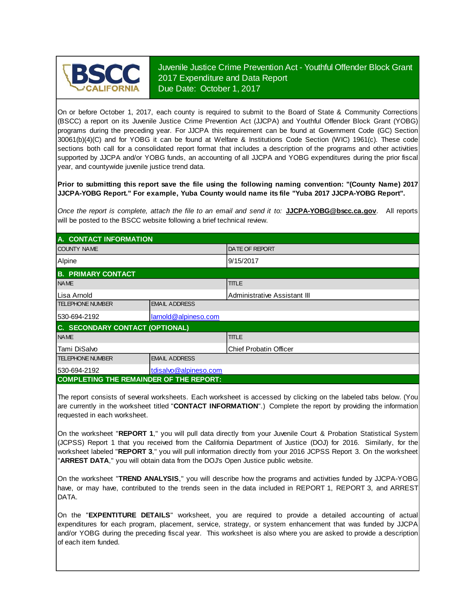

Juvenile Justice Crime Prevention Act - Youthful Offender Block Grant 2017 Expenditure and Data Report Due Date: October 1, 2017

On or before October 1, 2017, each county is required to submit to the Board of State & Community Corrections (BSCC) <sup>a</sup> report on its Juvenile Justice Crime Prevention Act (JJCPA) and Youthful Offender Block Grant (YOBG) programs during the preceding year. For JJCPA this requirement can be found at Government Code (GC) Section 30061(b)(4)(C) and for YOBG it can be found at Welfare & Institutions Code Section (WIC) 1961(c). These code sections both call for <sup>a</sup> consolidated report format that includes <sup>a</sup> description of the programs and other activities supported by JJCPA and/or YOBG funds, an accounting of all JJCPA and YOBG expenditures during the prior fiscal year, and countywide juvenile justice trend data.

**Prior to submitting this report save the file using the following naming convention: "(County Name) 2017 JJCPA-YOBG Report." For example, Yuba County would name its file "Yuba 2017 JJCPA-YOBG Report".**

*Once the report is complete, attach the file t o an email and send it to:* **JJCPA-YOBG@bscc.ca.gov**. All reports will be posted to the BSCC website following a brief technical review.

| A. CONTACT INFORMATION                         |                       |                              |  |  |
|------------------------------------------------|-----------------------|------------------------------|--|--|
| <b>COUNTY NAME</b>                             |                       | <b>DATE OF REPORT</b>        |  |  |
| Alpine                                         |                       | 9/15/2017                    |  |  |
| <b>B. PRIMARY CONTACT</b>                      |                       |                              |  |  |
| <b>NAME</b>                                    |                       | <b>TITLE</b>                 |  |  |
| Lisa Arnold                                    |                       | Administrative Assistant III |  |  |
| <b>TELEPHONE NUMBER</b>                        | <b>EMAIL ADDRESS</b>  |                              |  |  |
| 530-694-2192                                   | larnold@alpineso.com  |                              |  |  |
| C. SECONDARY CONTACT (OPTIONAL)                |                       |                              |  |  |
| <b>NAME</b>                                    |                       | <b>TITLE</b>                 |  |  |
| lTami DiSalvo                                  |                       | Chief Probatin Officer       |  |  |
| <b>TELEPHONE NUMBER</b>                        | <b>EMAIL ADDRESS</b>  |                              |  |  |
| 530-694-2192                                   | tdisalvo@alpineso.com |                              |  |  |
| <b>COMPLETING THE REMAINDER OF THE REPORT:</b> |                       |                              |  |  |

The report consists of several worksheets. Each worksheet is accessed by clicking on the labeled tabs below. (You are currently in the worksheet titled "**CONTACT INFORMATION**".) Complete the report by providing the information requested in each worksheet.

On the worksheet "REPORT 1," you will pull data directly from your Juvenile Court & Probation Statistical System (JCPSS) Report 1 that you received from the California Department of Justice (DOJ) for 2016. Similarly, for the worksheet labeled "REPORT 3," you will pull information directly from your 2016 JCPSS Report 3. On the worksheet "**ARREST DATA**," you will obtain data from the DOJ's Open Justice public website.

On the worksheet "**TREND ANALYSIS**, " you will describe how the programs and activities funded by JJCPA-YOBG have, or may have, contributed to the trends seen in the data included in REPORT 1, REPORT 3, and ARREST DATA.

On the "EXPENTITURE DETAILS" worksheet, you are required to provide a detailed accounting of actual expenditures for each program, placement, service, strategy, or system enhancement that was funded by JJCPA and/or YOBG during the preceding fiscal year. This worksheet is also where you are asked to provide a description of each item funded.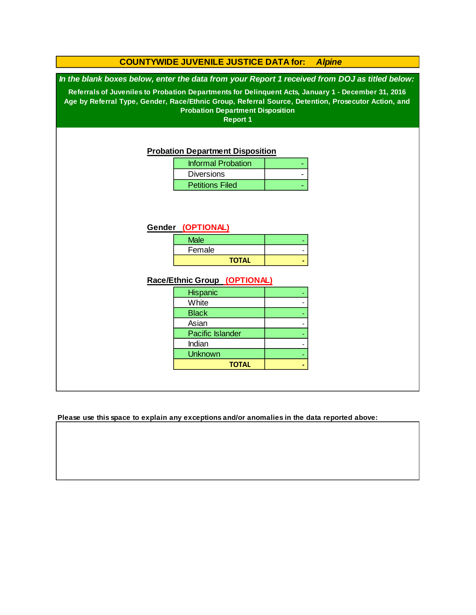#### **Race/Ethnic Group (OPTIONAL) COUNTYWIDE JUVENILE JUSTICE DATA for:** *Alpine In the blank boxes below, enter the data from your Report 1 received from DOJ as titled below:* **Probation Department Disposition Referrals of Juveniles to Probation Departments for Delinquent Acts, January 1 - December 31, 2016 Age by Referral Type, Gender, Race/Ethnic Group, Referral Source, Detention, Prosecutor Action, and Probation Department Disposition Report 1** Informal Probation | | | Diversions | Particular | Particular | Particular | Particular | Particular | Particular | Particular | Particular | Particular | Particular | Particular | Particular | Particular | Particular | Particular | Particular | P **TOTAL** - **Gender (OPTIONAL)** Male Petitions Filed - Asian -  **- Hispanic** Pacific Islander Female - - - - - **White Black**  - -  **-** Indian Unknown **TOTAL**

**Please use this space to explain any exceptions and/or anomalies in the data reported above:**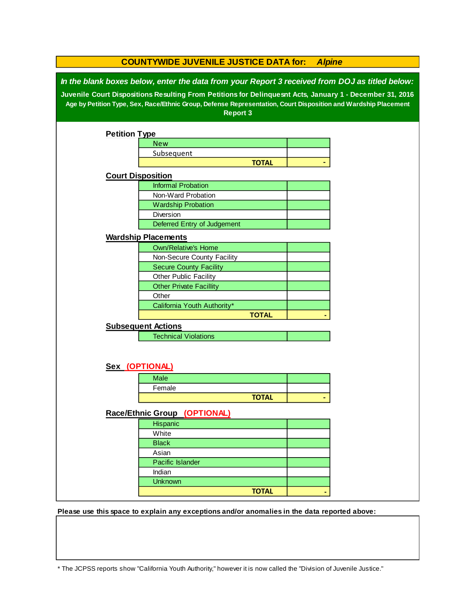| In the blank boxes below, enter the data from your Report 3 received from DOJ as titled below:<br>Juvenile Court Dispositions Resulting From Petitions for Delinquesnt Acts, January 1 - December 31, 2016<br>Age by Petition Type, Sex, Race/Ethnic Group, Defense Representation, Court Disposition and Wardship Placement<br><b>Report 3</b><br><b>Petition Type</b><br><b>New</b><br>Subsequent<br><b>TOTAL</b><br><b>Court Disposition</b><br><b>Informal Probation</b><br>Non-Ward Probation<br><b>Wardship Probation</b><br>Diversion<br>Deferred Entry of Judgement<br><b>Wardship Placements</b><br><b>Own/Relative's Home</b><br>Non-Secure County Facility<br><b>Secure County Facility</b><br>Other Public Facility<br><b>Other Private Facillity</b><br>Other<br>California Youth Authority*<br><b>TOTAL</b><br><b>Subsequent Actions</b><br><b>Technical Violations</b><br>Sex (OPTIONAL)<br><b>Male</b><br>Female<br><b>TOTAL</b><br>Race/Ethnic Group (OPTIONAL)<br>Hispanic<br>White<br><b>Black</b><br>Asian | <b>COUNTYWIDE JUVENILE JUSTICE DATA for:</b><br><b>Alpine</b> |                  |  |  |  |
|--------------------------------------------------------------------------------------------------------------------------------------------------------------------------------------------------------------------------------------------------------------------------------------------------------------------------------------------------------------------------------------------------------------------------------------------------------------------------------------------------------------------------------------------------------------------------------------------------------------------------------------------------------------------------------------------------------------------------------------------------------------------------------------------------------------------------------------------------------------------------------------------------------------------------------------------------------------------------------------------------------------------------------|---------------------------------------------------------------|------------------|--|--|--|
|                                                                                                                                                                                                                                                                                                                                                                                                                                                                                                                                                                                                                                                                                                                                                                                                                                                                                                                                                                                                                                |                                                               |                  |  |  |  |
|                                                                                                                                                                                                                                                                                                                                                                                                                                                                                                                                                                                                                                                                                                                                                                                                                                                                                                                                                                                                                                |                                                               |                  |  |  |  |
|                                                                                                                                                                                                                                                                                                                                                                                                                                                                                                                                                                                                                                                                                                                                                                                                                                                                                                                                                                                                                                |                                                               |                  |  |  |  |
|                                                                                                                                                                                                                                                                                                                                                                                                                                                                                                                                                                                                                                                                                                                                                                                                                                                                                                                                                                                                                                |                                                               |                  |  |  |  |
|                                                                                                                                                                                                                                                                                                                                                                                                                                                                                                                                                                                                                                                                                                                                                                                                                                                                                                                                                                                                                                |                                                               |                  |  |  |  |
|                                                                                                                                                                                                                                                                                                                                                                                                                                                                                                                                                                                                                                                                                                                                                                                                                                                                                                                                                                                                                                |                                                               |                  |  |  |  |
|                                                                                                                                                                                                                                                                                                                                                                                                                                                                                                                                                                                                                                                                                                                                                                                                                                                                                                                                                                                                                                |                                                               |                  |  |  |  |
|                                                                                                                                                                                                                                                                                                                                                                                                                                                                                                                                                                                                                                                                                                                                                                                                                                                                                                                                                                                                                                |                                                               |                  |  |  |  |
|                                                                                                                                                                                                                                                                                                                                                                                                                                                                                                                                                                                                                                                                                                                                                                                                                                                                                                                                                                                                                                |                                                               |                  |  |  |  |
|                                                                                                                                                                                                                                                                                                                                                                                                                                                                                                                                                                                                                                                                                                                                                                                                                                                                                                                                                                                                                                |                                                               |                  |  |  |  |
|                                                                                                                                                                                                                                                                                                                                                                                                                                                                                                                                                                                                                                                                                                                                                                                                                                                                                                                                                                                                                                |                                                               |                  |  |  |  |
|                                                                                                                                                                                                                                                                                                                                                                                                                                                                                                                                                                                                                                                                                                                                                                                                                                                                                                                                                                                                                                |                                                               |                  |  |  |  |
|                                                                                                                                                                                                                                                                                                                                                                                                                                                                                                                                                                                                                                                                                                                                                                                                                                                                                                                                                                                                                                |                                                               |                  |  |  |  |
|                                                                                                                                                                                                                                                                                                                                                                                                                                                                                                                                                                                                                                                                                                                                                                                                                                                                                                                                                                                                                                |                                                               |                  |  |  |  |
|                                                                                                                                                                                                                                                                                                                                                                                                                                                                                                                                                                                                                                                                                                                                                                                                                                                                                                                                                                                                                                |                                                               |                  |  |  |  |
|                                                                                                                                                                                                                                                                                                                                                                                                                                                                                                                                                                                                                                                                                                                                                                                                                                                                                                                                                                                                                                |                                                               |                  |  |  |  |
|                                                                                                                                                                                                                                                                                                                                                                                                                                                                                                                                                                                                                                                                                                                                                                                                                                                                                                                                                                                                                                |                                                               |                  |  |  |  |
|                                                                                                                                                                                                                                                                                                                                                                                                                                                                                                                                                                                                                                                                                                                                                                                                                                                                                                                                                                                                                                |                                                               |                  |  |  |  |
|                                                                                                                                                                                                                                                                                                                                                                                                                                                                                                                                                                                                                                                                                                                                                                                                                                                                                                                                                                                                                                |                                                               |                  |  |  |  |
|                                                                                                                                                                                                                                                                                                                                                                                                                                                                                                                                                                                                                                                                                                                                                                                                                                                                                                                                                                                                                                |                                                               |                  |  |  |  |
|                                                                                                                                                                                                                                                                                                                                                                                                                                                                                                                                                                                                                                                                                                                                                                                                                                                                                                                                                                                                                                |                                                               |                  |  |  |  |
|                                                                                                                                                                                                                                                                                                                                                                                                                                                                                                                                                                                                                                                                                                                                                                                                                                                                                                                                                                                                                                |                                                               |                  |  |  |  |
|                                                                                                                                                                                                                                                                                                                                                                                                                                                                                                                                                                                                                                                                                                                                                                                                                                                                                                                                                                                                                                |                                                               |                  |  |  |  |
|                                                                                                                                                                                                                                                                                                                                                                                                                                                                                                                                                                                                                                                                                                                                                                                                                                                                                                                                                                                                                                |                                                               |                  |  |  |  |
|                                                                                                                                                                                                                                                                                                                                                                                                                                                                                                                                                                                                                                                                                                                                                                                                                                                                                                                                                                                                                                |                                                               |                  |  |  |  |
|                                                                                                                                                                                                                                                                                                                                                                                                                                                                                                                                                                                                                                                                                                                                                                                                                                                                                                                                                                                                                                |                                                               |                  |  |  |  |
|                                                                                                                                                                                                                                                                                                                                                                                                                                                                                                                                                                                                                                                                                                                                                                                                                                                                                                                                                                                                                                |                                                               |                  |  |  |  |
|                                                                                                                                                                                                                                                                                                                                                                                                                                                                                                                                                                                                                                                                                                                                                                                                                                                                                                                                                                                                                                |                                                               |                  |  |  |  |
|                                                                                                                                                                                                                                                                                                                                                                                                                                                                                                                                                                                                                                                                                                                                                                                                                                                                                                                                                                                                                                |                                                               |                  |  |  |  |
|                                                                                                                                                                                                                                                                                                                                                                                                                                                                                                                                                                                                                                                                                                                                                                                                                                                                                                                                                                                                                                |                                                               |                  |  |  |  |
|                                                                                                                                                                                                                                                                                                                                                                                                                                                                                                                                                                                                                                                                                                                                                                                                                                                                                                                                                                                                                                |                                                               |                  |  |  |  |
|                                                                                                                                                                                                                                                                                                                                                                                                                                                                                                                                                                                                                                                                                                                                                                                                                                                                                                                                                                                                                                |                                                               |                  |  |  |  |
|                                                                                                                                                                                                                                                                                                                                                                                                                                                                                                                                                                                                                                                                                                                                                                                                                                                                                                                                                                                                                                |                                                               |                  |  |  |  |
|                                                                                                                                                                                                                                                                                                                                                                                                                                                                                                                                                                                                                                                                                                                                                                                                                                                                                                                                                                                                                                |                                                               | Pacific Islander |  |  |  |
| Indian                                                                                                                                                                                                                                                                                                                                                                                                                                                                                                                                                                                                                                                                                                                                                                                                                                                                                                                                                                                                                         |                                                               |                  |  |  |  |
| <b>Unknown</b>                                                                                                                                                                                                                                                                                                                                                                                                                                                                                                                                                                                                                                                                                                                                                                                                                                                                                                                                                                                                                 |                                                               |                  |  |  |  |
| <b>TOTAL</b>                                                                                                                                                                                                                                                                                                                                                                                                                                                                                                                                                                                                                                                                                                                                                                                                                                                                                                                                                                                                                   |                                                               |                  |  |  |  |

**Please use this space to explain any exceptions and/or anomalies in the data reported above:** 

\* The JCPSS reports show "California Youth Authority," however it is now called the "Division of Juvenile Justice."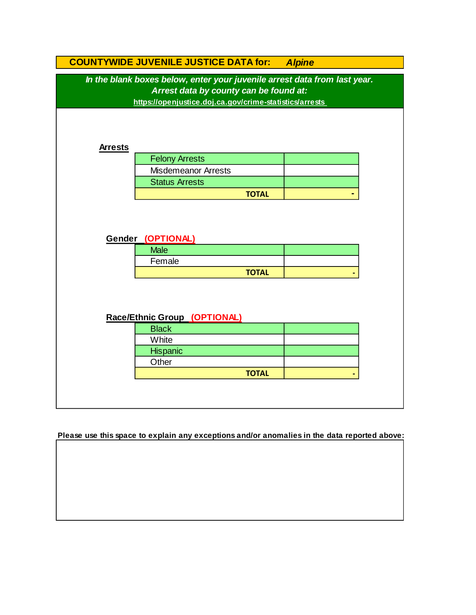|                                                                                                                                                                                | <b>COUNTYWIDE JUVENILE JUSTICE DATA for:</b> | <b>Alpine</b> |  |  |
|--------------------------------------------------------------------------------------------------------------------------------------------------------------------------------|----------------------------------------------|---------------|--|--|
| In the blank boxes below, enter your juvenile arrest data from last year.<br>Arrest data by county can be found at:<br>https://openjustice.doj.ca.gov/crime-statistics/arrests |                                              |               |  |  |
| <b>Arrests</b>                                                                                                                                                                 |                                              |               |  |  |
|                                                                                                                                                                                | <b>Felony Arrests</b>                        |               |  |  |
|                                                                                                                                                                                | <b>Misdemeanor Arrests</b>                   |               |  |  |
|                                                                                                                                                                                | <b>Status Arrests</b>                        |               |  |  |
|                                                                                                                                                                                | <b>TOTAL</b>                                 |               |  |  |
|                                                                                                                                                                                | Gender (OPTIONAL)<br><b>Male</b><br>Female   |               |  |  |
|                                                                                                                                                                                | <b>TOTAL</b>                                 |               |  |  |
|                                                                                                                                                                                | Race/Ethnic Group (OPTIONAL)                 |               |  |  |
|                                                                                                                                                                                | <b>Black</b>                                 |               |  |  |
|                                                                                                                                                                                | White                                        |               |  |  |
|                                                                                                                                                                                | Hispanic                                     |               |  |  |
|                                                                                                                                                                                | Other                                        |               |  |  |
|                                                                                                                                                                                | <b>TOTAL</b>                                 |               |  |  |
|                                                                                                                                                                                |                                              |               |  |  |

**Please use this space to explain any exceptions and/or anomalies in the data reported above:**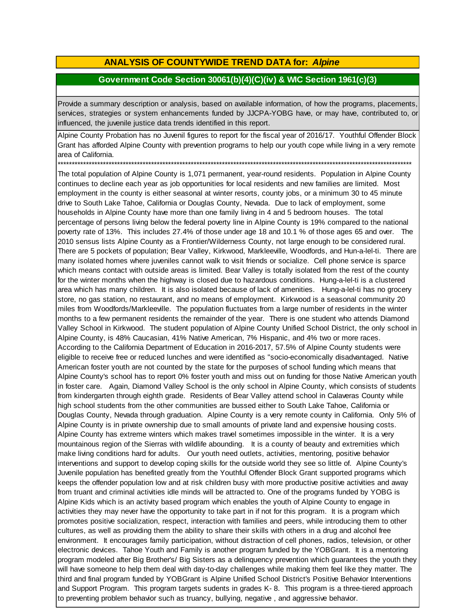## **ANALYSIS OF COUNTYWIDE TREND DATA for:** *Alpine*

### **Government Code Section 30061(b)(4)(C)(iv) & WIC Section 1961(c)(3)**

Provide <sup>a</sup> summary description or analysis, based on available information, of how the programs, placements, services, strategies or system enhancements funded by JJCPA-YOBG have, or may have, contributed to, or influenced, the juvenile justice data trends identified in this report.

Alpine County Probation has no Juvenil figures to report for the fiscal year of 2016/17. Youthful Offender Block Grant has afforded Alpine County with prevention programs to help our youth cope while living in a very remote area of California.

\*\*\*\*\*\*\*\*\*\*\*\*\*\*\*\*\*\*\*\*\*\*\*\*\*\*\*\*\*\*\*\*\*\*\*\*\*\*\*\*\*\*\*\*\*\*\*\*\*\*\*\*\*\*\*\*\*\*\*\*\*\*\*\*\*\*\*\*\*\*\*\*\*\*\*\*\*\*\*\*\*\*\*\*\*\*\*\*\*\*\*\*\*\*\*\*\*\*\*\*\*\*\*\*\*\*\*\*\*\*\*\*\*\*\*\*\*\*\*\*\*\*\*\*\*

The total population of Alpine County is 1,071 permanent, year-round residents. Population in Alpine County continues to decline each year as job opportunities for local residents and new families are limited. Most employment in the county is either seasonal at winter resorts, county jobs, or a minimum 30 to 45 minute drive to South Lake Tahoe, California or Douglas County, Nevada. Due to lack of employment, some households in Alpine County have more than one family living in 4 and 5 bedroom houses. The total percentage of persons living below the federal poverty line in Alpine County is 19% compared to the national poverty rate of 13%. This includes 27.4% of those under age 18 and 10.1 % of those ages 65 and over. The 2010 sensus lists Alpine County as a Frontier/Wilderness County, not large enough to be considered rural. There are 5 pockets of population; Bear Valley, Kirkwood, Markleeville, Woodfords, and Hun-a-lel-ti. There are many isolated homes where juveniles cannot walk to visit friends or socialize. Cell phone service is sparce which means contact with outside areas is limited. Bear Valley is totally isolated from the rest of the county for the winter months when the highway is closed due to hazardous conditions. Hung-a-lel-ti is a clustered area which has many children. It is also isolated because of lack of amenities. Hung-a-lel-ti has no grocery store, no gas station, no restaurant, and no means of employment. Kirkwood is a seasonal community 20 miles from Woodfords/Markleeville. The population fluctuates from a large number of residents in the winter months to a few permanent residents the remainder of the year. There is one student who attends Diamond Valley School in Kirkwood. The student population of Alpine County Unified School District, the only school in Alpine County, is 48% Caucasian, 41% Native American, 7% Hispanic, and 4% two or more races. According to the California Department of Education in 2016-2017, 57.5% of Alpine County students were eligible to receive free or reduced lunches and were identified as "socio-economically disadvantaged. Native American foster youth are not counted by the state for the purposes of school funding which means that Alpine County's school has to report 0% foster youth and miss out on funding for those Native American youth in foster care. Again, Diamond Valley School is the only school in Alpine County, which consists of students from kindergarten through eighth grade. Residents of Bear Valley attend school in Calaveras County while high school students from the other communities are bussed either to South Lake Tahoe, California or Douglas County, Nevada through graduation. Alpine County is a very remote county in California. Only 5% of Alpine County is in private ownership due to small amounts of private land and expensive housing costs. Alpine County has extreme winters which makes travel sometimes impossible in the winter. It is a very mountainous region of the Sierras with wildlife abounding. It is a county of beauty and extremities which make living conditions hard for adults. Our youth need outlets, activities, mentoring, positive behavior interventions and support to develop coping skills for the outside world they see so little of. Alpine County's Juvenile population has benefited greatly from the Youthful Offender Block Grant supported programs which keeps the offender population low and at risk children busy with more productive positive activities and away from truant and criminal activities idle minds will be attracted to. One of the programs funded by YOBG is Alpine Kids which is an activity based program which enables the youth of Alpine County to engage in activities they may never have the opportunity to take part in if not for this program. It is a program which promotes positive socialization, respect, interaction with families and peers, while introducing them to other cultures, as well as providing them the ability to share their skills with others in a drug and alcohol free environment. It encourages family participation, without distraction of cell phones, radios, television, or other electronic devices. Tahoe Youth and Family is another program funded by the YOBGrant. It is a mentoring program modeled after Big Brother's/ Big Sisters as a delinquency prevention which guarantees the youth they will have someone to help them deal with day-to-day challenges while making them feel like they matter. The third and final program funded by YOBGrant is Alpine Unified School District's Positive Behavior Interventions and Support Program. This program targets sudents in grades K- 8. This program is a three-tiered approach to preventing problem behavior such as truancy, bullying, negative , and aggressive behavior.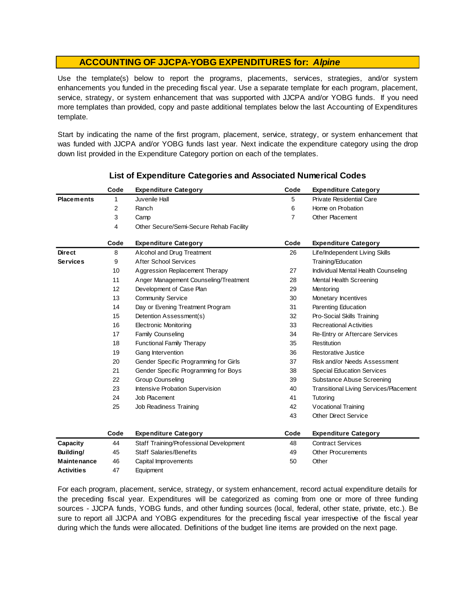Use the template(s) below to report the programs, placements, services, strategies, and/or system enhancements you funded in the preceding fiscal year. Use <sup>a</sup> separate template for each program, placement, service, strategy, or system enhancement that was supported with JJCPA and/or YOBG funds. If you need more templates than provided, copy and paste additional templates below the last Accounting of Expenditures template.

Start by indicating the name of the first program, placement, service, strategy, or system enhancement that was funded with JJCPA and/or YOBG funds last year. Next indicate the expenditure category using the drop down list provided in the Expenditure Category portion on each of the templates.

|                    | Code | <b>Expenditure Category</b>             | Code | <b>Expenditure Category</b>                   |
|--------------------|------|-----------------------------------------|------|-----------------------------------------------|
| <b>Placements</b>  | 1    | Juvenile Hall                           | 5    | Private Residential Care                      |
|                    | 2    | Ranch                                   | 6    | Home on Probation                             |
|                    | 3    | Camp                                    | 7    | <b>Other Placement</b>                        |
|                    | 4    | Other Secure/Semi-Secure Rehab Facility |      |                                               |
|                    | Code | <b>Expenditure Category</b>             | Code | <b>Expenditure Category</b>                   |
| <b>Direct</b>      | 8    | Alcohol and Drug Treatment              | 26   | Life/Independent Living Skills                |
| <b>Services</b>    | 9    | <b>After School Services</b>            |      | Training/Education                            |
|                    | 10   | Aggression Replacement Therapy          | 27   | Individual Mental Health Counseling           |
|                    | 11   | Anger Management Counseling/Treatment   | 28   | Mental Health Screening                       |
|                    | 12   | Development of Case Plan                | 29   | Mentoring                                     |
|                    | 13   | <b>Community Service</b>                | 30   | Monetary Incentives                           |
|                    | 14   | Day or Evening Treatment Program        | 31   | Parenting Education                           |
|                    | 15   | Detention Assessment(s)                 | 32   | Pro-Social Skills Training                    |
|                    | 16   | <b>Electronic Monitoring</b>            | 33   | <b>Recreational Activities</b>                |
|                    | 17   | Family Counseling                       | 34   | Re-Entry or Aftercare Services                |
|                    | 18   | <b>Functional Family Therapy</b>        | 35   | Restitution                                   |
|                    | 19   | Gang Intervention                       | 36   | Restorative Justice                           |
|                    | 20   | Gender Specific Programming for Girls   | 37   | Risk and/or Needs Assessment                  |
|                    | 21   | Gender Specific Programming for Boys    | 38   | <b>Special Education Services</b>             |
|                    | 22   | <b>Group Counseling</b>                 | 39   | Substance Abuse Screening                     |
|                    | 23   | Intensive Probation Supervision         | 40   | <b>Transitional Living Services/Placement</b> |
|                    | 24   | Job Placement                           | 41   | Tutoring                                      |
|                    | 25   | Job Readiness Training                  | 42   | <b>Vocational Training</b>                    |
|                    |      |                                         | 43   | <b>Other Direct Service</b>                   |
|                    | Code | <b>Expenditure Category</b>             | Code | <b>Expenditure Category</b>                   |
| Capacity           | 44   | Staff Training/Professional Development | 48   | <b>Contract Services</b>                      |
| Building/          | 45   | <b>Staff Salaries/Benefits</b>          | 49   | <b>Other Procurements</b>                     |
| <b>Maintenance</b> | 46   | Capital Improvements                    | 50   | Other                                         |
| Activities         | 47   | Equipment                               |      |                                               |

### **List of Expenditure Categories and Associated Numerical Codes**

For each program, placement, service, strategy, or system enhancement, record actual expenditure details for the preceding fiscal year. Expenditures will be categorized as coming from one or more of three funding sources - JJCPA funds, YOBG funds, and other funding sources (local, federal, other state, private, etc.). Be sure to report all JJCPA and YOBG expenditures for the preceding fiscal year irrespective of the fiscal year during which the funds were allocated. Definitions of the budget line items are provided on the next page.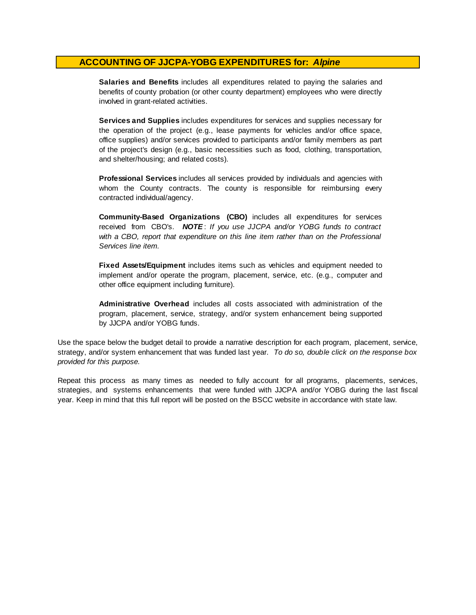**Salaries and Benefits** includes all expenditures related to paying the salaries and benefits of county probation (or other county department) employees who were directly involved in grant-related activities.

**Services and Supplies** includes expenditures for services and supplies necessary for the operation of the project (e.g., lease payments for vehicles and/or office space, office supplies) and/or services provided to participants and/or family members as part of the project's design (e.g., basic necessities such as food, clothing, transportation, and shelter/housing; and related costs).

**Professional Services** includes all services provided by individuals and agencies with whom the County contracts. The county is responsible for reimbursing every contracted individual/agency.

**Community-Based Organizations (CBO)** includes all expenditures for services received from CBO's. *NOTE* : *I f you use JJCPA and/or YOBG funds t o contract with <sup>a</sup> CBO, report that expenditure on this line item rather than on the Professional Services line item.*

**Fixed Assets/Equipment** includes items such as vehicles and equipment needed to implement and/or operate the program, placement, service, etc. (e.g., computer and other office equipment including furniture).

**Administrative Overhead** includes all costs associated with administration of the program, placement, service, strategy, and/or system enhancement being supported by JJCPA and/or YOBG funds.

Use the space below the budget detail to provide a narrative description for each program, placement, service, strategy, and/or system enhancement that was funded last year. *To do so, double click on the response box provided for this purpose.* 

Repeat this process as many times as needed to fully account for all programs, placements, services, strategies, and systems enhancements that were funded with JJCPA and/or YOBG during the last fiscal year. Keep in mind that this full report will be posted on the BSCC website in accordance with state law.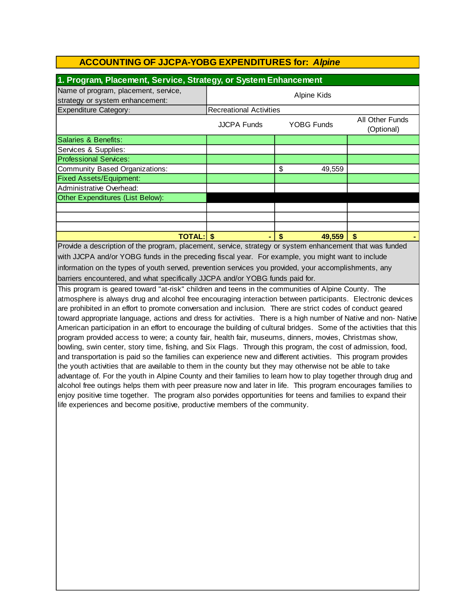| 1. Program, Placement, Service, Strategy, or System Enhancement                                                                                                                                                    |                                                                          |    |        |  |  |  |  |
|--------------------------------------------------------------------------------------------------------------------------------------------------------------------------------------------------------------------|--------------------------------------------------------------------------|----|--------|--|--|--|--|
| Name of program, placement, service,<br>strategy or system enhancement:                                                                                                                                            | Alpine Kids                                                              |    |        |  |  |  |  |
| <b>Expenditure Category:</b>                                                                                                                                                                                       | <b>Recreational Activities</b>                                           |    |        |  |  |  |  |
|                                                                                                                                                                                                                    | All Other Funds<br><b>JJCPA Funds</b><br><b>YOBG Funds</b><br>(Optional) |    |        |  |  |  |  |
| Salaries & Benefits:                                                                                                                                                                                               |                                                                          |    |        |  |  |  |  |
| Services & Supplies:                                                                                                                                                                                               |                                                                          |    |        |  |  |  |  |
| <b>Professional Services:</b>                                                                                                                                                                                      |                                                                          |    |        |  |  |  |  |
| Community Based Organizations:                                                                                                                                                                                     |                                                                          | \$ | 49,559 |  |  |  |  |
| <b>Fixed Assets/Equipment:</b>                                                                                                                                                                                     |                                                                          |    |        |  |  |  |  |
| Administrative Overhead:                                                                                                                                                                                           |                                                                          |    |        |  |  |  |  |
| Other Expenditures (List Below):                                                                                                                                                                                   |                                                                          |    |        |  |  |  |  |
|                                                                                                                                                                                                                    |                                                                          |    |        |  |  |  |  |
|                                                                                                                                                                                                                    |                                                                          |    |        |  |  |  |  |
|                                                                                                                                                                                                                    |                                                                          |    |        |  |  |  |  |
| <b>TOTAL: \$</b><br>\$<br>49,559<br>\$                                                                                                                                                                             |                                                                          |    |        |  |  |  |  |
| Provide a description of the program, placement, service, strategy or system enhancement that was funded                                                                                                           |                                                                          |    |        |  |  |  |  |
| with JJCPA and/or YOBG funds in the preceding fiscal year. For example, you might want to include                                                                                                                  |                                                                          |    |        |  |  |  |  |
| information on the types of youth served, prevention services you provided, your accomplishments, any                                                                                                              |                                                                          |    |        |  |  |  |  |
| barriers encountered, and what specifically JJCPA and/or YOBG funds paid for.                                                                                                                                      |                                                                          |    |        |  |  |  |  |
| This program is geared toward "at-risk" children and teens in the communities of Alpine County. The<br>otmosphere is always drug and alsohol free enseuracing interaction between participants. Electronic devices |                                                                          |    |        |  |  |  |  |

atmosphere is always drug and alcohol free encouraging interaction between participants. Electronic devices are prohibited in an effort to promote conversation and inclusion. There are strict codes of conduct geared toward appropriate language, actions and dress for activities. There is a high number of Native and non- Native American participation in an effort to encourage the building of cultural bridges. Some of the activities that this program provided access to were; a county fair, health fair, museums, dinners, movies, Christmas show, bowling, swin center, story time, fishing, and Six Flags. Through this program, the cost of admission, food, and transportation is paid so the families can experience new and different activities. This program provides the youth activities that are available to them in the county but they may otherwise not be able to take advantage of. For the youth in Alpine County and their families to learn how to play together through drug and alcohol free outings helps them with peer preasure now and later in life. This program encourages families to enjoy positive time together. The program also porvides opportunities for teens and families to expand their life experiences and become positive, productive members of the community.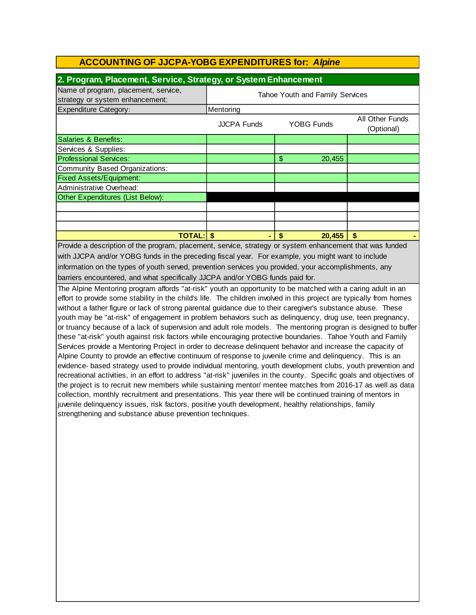| 2. Program, Placement, Service, Strategy, or System Enhancement                                                                                                                                                                                                                                                        |                                 |              |                               |  |  |
|------------------------------------------------------------------------------------------------------------------------------------------------------------------------------------------------------------------------------------------------------------------------------------------------------------------------|---------------------------------|--------------|-------------------------------|--|--|
| Name of program, placement, service,<br>strategy or system enhancement:                                                                                                                                                                                                                                                | Tahoe Youth and Family Services |              |                               |  |  |
| <b>Expenditure Category:</b>                                                                                                                                                                                                                                                                                           | Mentoring                       |              |                               |  |  |
|                                                                                                                                                                                                                                                                                                                        | JJCPA Funds                     | YOBG Funds   | All Other Funds<br>(Optional) |  |  |
| Salaries & Benefits:                                                                                                                                                                                                                                                                                                   |                                 |              |                               |  |  |
| Services & Supplies:                                                                                                                                                                                                                                                                                                   |                                 |              |                               |  |  |
| <b>Professional Services:</b>                                                                                                                                                                                                                                                                                          |                                 | \$<br>20,455 |                               |  |  |
| Community Based Organizations:                                                                                                                                                                                                                                                                                         |                                 |              |                               |  |  |
| <b>Fixed Assets/Equipment:</b>                                                                                                                                                                                                                                                                                         |                                 |              |                               |  |  |
| Administrative Overhead:                                                                                                                                                                                                                                                                                               |                                 |              |                               |  |  |
| Other Expenditures (List Below):                                                                                                                                                                                                                                                                                       |                                 |              |                               |  |  |
|                                                                                                                                                                                                                                                                                                                        |                                 |              |                               |  |  |
|                                                                                                                                                                                                                                                                                                                        |                                 |              |                               |  |  |
|                                                                                                                                                                                                                                                                                                                        |                                 |              |                               |  |  |
| <b>TOTAL:</b>                                                                                                                                                                                                                                                                                                          |                                 | 20,455       | \$                            |  |  |
| Proceeding to the contraction of the con-<br>the state of the state of the state of the state of the state of the state of the state of the state of the state of the state of the state of the state of the state of the state of the state of the state of the state of t<br>anti-international control of the self- |                                 |              |                               |  |  |

information on the types of youth served, prevention services you provided, your accomplishments, any barriers encountered, and what specifically JJCPA and/or YOBG funds paid for. Provide a description of the program, placement, service, strategy or system enhancement that was funded with JJCPA and/or YOBG funds in the preceding fiscal year. For example, you might want to include

The Alpine Mentoring program affords "at-risk" youth an opportunity to be matched with a caring adult in an effort to provide some stability in the child's life. The children involved in this project are typically from homes without a father figure or lack of strong parental guidance due to their caregiver's substance abuse. These youth may be "at-risk" of engagement in problem behaviors such as delinquency, drug use, teen pregnancy, or truancy because of a lack of supervision and adult role models. The mentoring progran is designed to buffer these "at-risk" youth against risk factors while encouraging protective boundaries. Tahoe Youth and Family Services provide a Mentoring Project in order to decrease delinquent behavior and increase the capacity of Alpine County to provide an effective continuum of response to juvenile crime and delinquency. This is an evidence- based strategy used to provide individual mentoring, youth development clubs, youth prevention and recreational activities, in an effort to address "at-risk" juveniles in the county. Specific goals and objectives of the project is to recruit new members while sustaining mentor/ mentee matches from 2016-17 as well as data collection, monthly recruitment and presentations. This year there will be continued training of mentors in juvenile delinquency issues, risk factors, positive youth development, healthy relationships, family strengthening and substance abuse prevention techniques.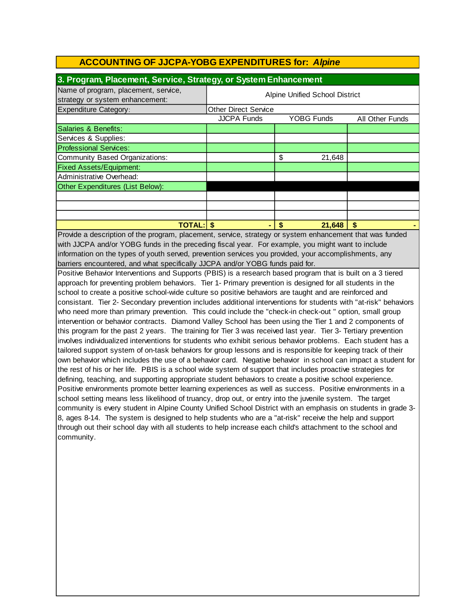| 3. Program, Placement, Service, Strategy, or System Enhancement         |                                |                   |                        |  |  |
|-------------------------------------------------------------------------|--------------------------------|-------------------|------------------------|--|--|
| Name of program, placement, service,<br>strategy or system enhancement: | Alpine Unified School District |                   |                        |  |  |
| <b>Expenditure Category:</b>                                            | <b>Other Direct Service</b>    |                   |                        |  |  |
|                                                                         | <b>JJCPA Funds</b>             | <b>YOBG Funds</b> | <b>All Other Funds</b> |  |  |
| Salaries & Benefits:                                                    |                                |                   |                        |  |  |
| Services & Supplies:                                                    |                                |                   |                        |  |  |
| <b>Professional Services:</b>                                           |                                |                   |                        |  |  |
| Community Based Organizations:                                          |                                | \$<br>21,648      |                        |  |  |
| <b>Fixed Assets/Equipment:</b>                                          |                                |                   |                        |  |  |
| Administrative Overhead:                                                |                                |                   |                        |  |  |
| Other Expenditures (List Below):                                        |                                |                   |                        |  |  |
|                                                                         |                                |                   |                        |  |  |
|                                                                         |                                |                   |                        |  |  |
|                                                                         |                                |                   |                        |  |  |
| <b>TOTAL:IS</b>                                                         |                                | 21,648<br>S       | \$                     |  |  |

Provide a description of the program, placement, service, strategy or system enhancement that was funded with JJCPA and/or YOBG funds in the preceding fiscal year. For example, you might want to include barriers encountered, and what specifically JJCPA and/or YOBG funds paid for. information on the types of youth served, prevention services you provided, your accomplishments, any

Positive Behavior Interventions and Supports (PBIS) is a research based program that is built on a 3 tiered approach for preventing problem behaviors. Tier 1- Primary prevention is designed for all students in the school to create a positive school-wide culture so positive behaviors are taught and are reinforced and consistant. Tier 2- Secondary prevention includes additional interventions for students with "at-risk" behaviors who need more than primary prevention. This could include the "check-in check-out " option, small group intervention or behavior contracts. Diamond Valley School has been using the Tier 1 and 2 components of this program for the past 2 years. The training for Tier 3 was received last year. Tier 3- Tertiary prevention involves individualized interventions for students who exhibit serious behavior problems. Each student has a tailored support system of on-task behaviors for group lessons and is responsible for keeping track of their own behavior which includes the use of a behavior card. Negative behavior in school can impact a student for the rest of his or her life. PBIS is a school wide system of support that includes proactive strategies for defining, teaching, and supporting appropriate student behaviors to create a positive school experience. Positive environments promote better learning experiences as well as success. Positive environments in a school setting means less likelihood of truancy, drop out, or entry into the juvenile system. The target community is every student in Alpine County Unified School District with an emphasis on students in grade 3- 8, ages 8-14. The system is designed to help students who are a "at-risk" receive the help and support through out their school day with all students to help increase each child's attachment to the school and community.